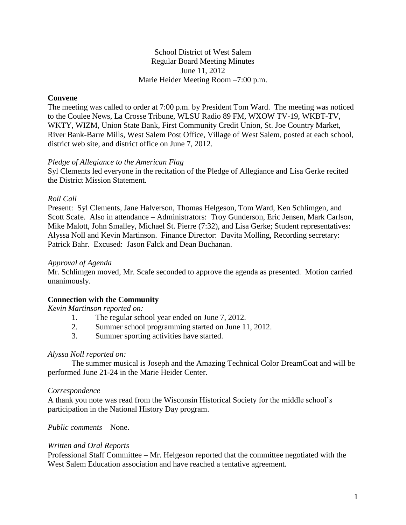School District of West Salem Regular Board Meeting Minutes June 11, 2012 Marie Heider Meeting Room –7:00 p.m.

#### **Convene**

The meeting was called to order at 7:00 p.m. by President Tom Ward. The meeting was noticed to the Coulee News, La Crosse Tribune, WLSU Radio 89 FM, WXOW TV-19, WKBT-TV, WKTY, WIZM, Union State Bank, First Community Credit Union, St. Joe Country Market, River Bank-Barre Mills, West Salem Post Office, Village of West Salem, posted at each school, district web site, and district office on June 7, 2012.

#### *Pledge of Allegiance to the American Flag*

Syl Clements led everyone in the recitation of the Pledge of Allegiance and Lisa Gerke recited the District Mission Statement.

#### *Roll Call*

Present: Syl Clements, Jane Halverson, Thomas Helgeson, Tom Ward, Ken Schlimgen, and Scott Scafe. Also in attendance – Administrators: Troy Gunderson, Eric Jensen, Mark Carlson, Mike Malott, John Smalley, Michael St. Pierre (7:32), and Lisa Gerke; Student representatives: Alyssa Noll and Kevin Martinson. Finance Director: Davita Molling, Recording secretary: Patrick Bahr. Excused: Jason Falck and Dean Buchanan.

#### *Approval of Agenda*

Mr. Schlimgen moved, Mr. Scafe seconded to approve the agenda as presented. Motion carried unanimously.

## **Connection with the Community**

*Kevin Martinson reported on:*

- 1. The regular school year ended on June 7, 2012.
- 2. Summer school programming started on June 11, 2012.
- 3. Summer sporting activities have started.

#### *Alyssa Noll reported on:*

The summer musical is Joseph and the Amazing Technical Color DreamCoat and will be performed June 21-24 in the Marie Heider Center.

#### *Correspondence*

A thank you note was read from the Wisconsin Historical Society for the middle school's participation in the National History Day program.

*Public comments –* None.

#### *Written and Oral Reports*

Professional Staff Committee – Mr. Helgeson reported that the committee negotiated with the West Salem Education association and have reached a tentative agreement.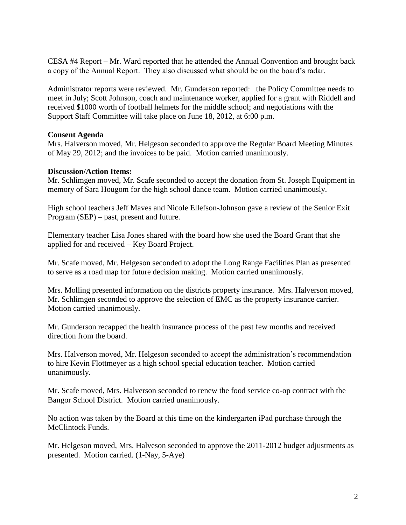CESA #4 Report – Mr. Ward reported that he attended the Annual Convention and brought back a copy of the Annual Report. They also discussed what should be on the board's radar.

Administrator reports were reviewed. Mr. Gunderson reported: the Policy Committee needs to meet in July; Scott Johnson, coach and maintenance worker, applied for a grant with Riddell and received \$1000 worth of football helmets for the middle school; and negotiations with the Support Staff Committee will take place on June 18, 2012, at 6:00 p.m.

## **Consent Agenda**

Mrs. Halverson moved, Mr. Helgeson seconded to approve the Regular Board Meeting Minutes of May 29, 2012; and the invoices to be paid. Motion carried unanimously.

#### **Discussion/Action Items:**

Mr. Schlimgen moved, Mr. Scafe seconded to accept the donation from St. Joseph Equipment in memory of Sara Hougom for the high school dance team. Motion carried unanimously.

High school teachers Jeff Maves and Nicole Ellefson-Johnson gave a review of the Senior Exit Program (SEP) – past, present and future.

Elementary teacher Lisa Jones shared with the board how she used the Board Grant that she applied for and received – Key Board Project.

Mr. Scafe moved, Mr. Helgeson seconded to adopt the Long Range Facilities Plan as presented to serve as a road map for future decision making. Motion carried unanimously.

Mrs. Molling presented information on the districts property insurance. Mrs. Halverson moved, Mr. Schlimgen seconded to approve the selection of EMC as the property insurance carrier. Motion carried unanimously.

Mr. Gunderson recapped the health insurance process of the past few months and received direction from the board.

Mrs. Halverson moved, Mr. Helgeson seconded to accept the administration's recommendation to hire Kevin Flottmeyer as a high school special education teacher. Motion carried unanimously.

Mr. Scafe moved, Mrs. Halverson seconded to renew the food service co-op contract with the Bangor School District. Motion carried unanimously.

No action was taken by the Board at this time on the kindergarten iPad purchase through the McClintock Funds.

Mr. Helgeson moved, Mrs. Halveson seconded to approve the 2011-2012 budget adjustments as presented. Motion carried. (1-Nay, 5-Aye)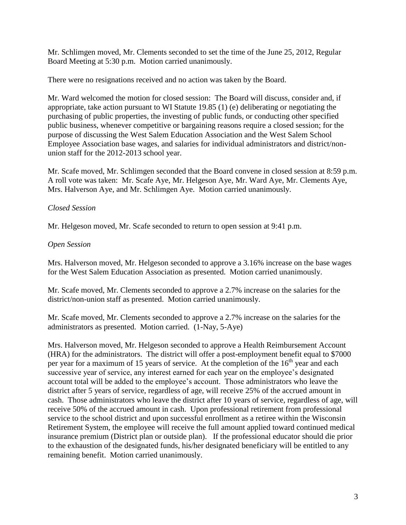Mr. Schlimgen moved, Mr. Clements seconded to set the time of the June 25, 2012, Regular Board Meeting at 5:30 p.m. Motion carried unanimously.

There were no resignations received and no action was taken by the Board.

Mr. Ward welcomed the motion for closed session: The Board will discuss, consider and, if appropriate, take action pursuant to WI Statute 19.85 (1) (e) deliberating or negotiating the purchasing of public properties, the investing of public funds, or conducting other specified public business, whenever competitive or bargaining reasons require a closed session; for the purpose of discussing the West Salem Education Association and the West Salem School Employee Association base wages, and salaries for individual administrators and district/nonunion staff for the 2012-2013 school year.

Mr. Scafe moved, Mr. Schlimgen seconded that the Board convene in closed session at 8:59 p.m. A roll vote was taken: Mr. Scafe Aye, Mr. Helgeson Aye, Mr. Ward Aye, Mr. Clements Aye, Mrs. Halverson Aye, and Mr. Schlimgen Aye. Motion carried unanimously.

# *Closed Session*

Mr. Helgeson moved, Mr. Scafe seconded to return to open session at 9:41 p.m.

# *Open Session*

Mrs. Halverson moved, Mr. Helgeson seconded to approve a 3.16% increase on the base wages for the West Salem Education Association as presented. Motion carried unanimously.

Mr. Scafe moved, Mr. Clements seconded to approve a 2.7% increase on the salaries for the district/non-union staff as presented. Motion carried unanimously.

Mr. Scafe moved, Mr. Clements seconded to approve a 2.7% increase on the salaries for the administrators as presented. Motion carried. (1-Nay, 5-Aye)

Mrs. Halverson moved, Mr. Helgeson seconded to approve a Health Reimbursement Account (HRA) for the administrators. The district will offer a post-employment benefit equal to \$7000 per year for a maximum of 15 years of service. At the completion of the  $16<sup>th</sup>$  year and each successive year of service, any interest earned for each year on the employee's designated account total will be added to the employee's account. Those administrators who leave the district after 5 years of service, regardless of age, will receive 25% of the accrued amount in cash. Those administrators who leave the district after 10 years of service, regardless of age, will receive 50% of the accrued amount in cash. Upon professional retirement from professional service to the school district and upon successful enrollment as a retiree within the Wisconsin Retirement System, the employee will receive the full amount applied toward continued medical insurance premium (District plan or outside plan). If the professional educator should die prior to the exhaustion of the designated funds, his/her designated beneficiary will be entitled to any remaining benefit. Motion carried unanimously.